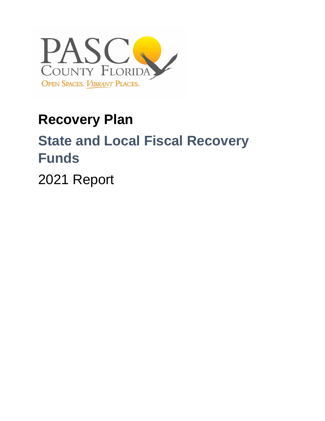

## **Recovery Plan**

# **State and Local Fiscal Recovery Funds**

2021 Report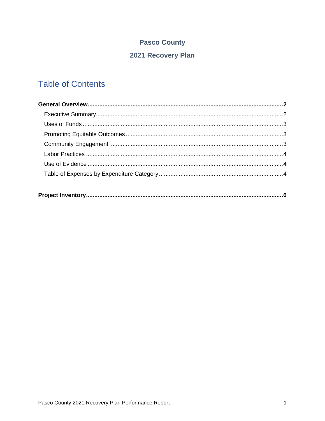## **Pasco County**

## 2021 Recovery Plan

## **Table of Contents**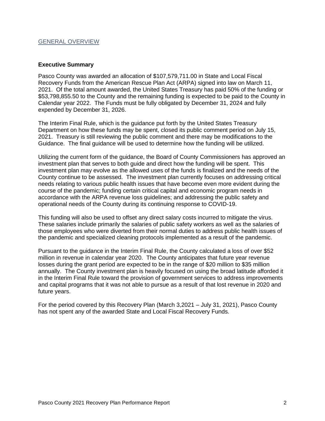#### GENERAL OVERVIEW

#### **Executive Summary**

 Pasco County was awarded an allocation of \$[107,579,711.00](https://107,579,711.00) in State and Local Fiscal Recovery Funds from the American Rescue Plan Act (ARPA) signed into law on March 11, 2021. Of the total amount awarded, the United States Treasury has paid 50% of the funding or [\\$53,798,855.50](https://53,798,855.50) to the County and the remaining funding is expected to be paid to the County in Calendar year 2022. The Funds must be fully obligated by December 31, 2024 and fully expended by December 31, 2026.

 The Interim Final Rule, which is the guidance put forth by the United States Treasury Department on how these funds may be spent, closed its public comment period on July 15, 2021. Treasury is still reviewing the public comment and there may be modifications to the Guidance. The final guidance will be used to determine how the funding will be utilized.

 Utilizing the current form of the guidance, the Board of County Commissioners has approved an investment plan that serves to both guide and direct how the funding will be spent. This investment plan may evolve as the allowed uses of the funds is finalized and the needs of the County continue to be assessed. The investment plan currently focuses on addressing critical needs relating to various public health issues that have become even more evident during the course of the pandemic; funding certain critical capital and economic program needs in accordance with the ARPA revenue loss guidelines; and addressing the public safety and operational needs of the County during its continuing response to COVID-19.

 This funding will also be used to offset any direct salary costs incurred to mitigate the virus. These salaries include primarily the salaries of public safety workers as well as the salaries of those employees who were diverted from their normal duties to address public health issues of the pandemic and specialized cleaning protocols implemented as a result of the pandemic.

 Pursuant to the guidance in the Interim Final Rule, the County calculated a loss of over \$52 million in revenue in calendar year 2020. The County anticipates that future year revenue losses during the grant period are expected to be in the range of \$20 million to \$35 million annually. The County investment plan is heavily focused on using the broad latitude afforded it in the Interim Final Rule toward the provision of government services to address improvements and capital programs that it was not able to pursue as a result of that lost revenue in 2020 and future years.

 For the period covered by this Recovery Plan (March 3,2021 – July 31, 2021), Pasco County has not spent any of the awarded State and Local Fiscal Recovery Funds.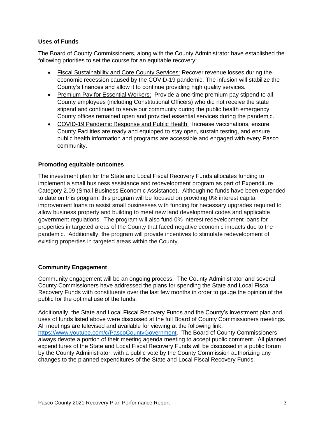#### **Uses of Funds**

 The Board of County Commissioners, along with the County Administrator have established the following priorities to set the course for an equitable recovery:

- economic recession caused by the COVID-19 pandemic. The infusion will stabilize the County's finances and allow it to continue providing high quality services. • Fiscal Sustainability and Core County Services: Recover revenue losses during the
- Premium Pay for Essential Workers: Provide a one-time premium pay stipend to all County employees (including Constitutional Officers) who did not receive the state stipend and continued to serve our community during the public health emergency. County offices remained open and provided essential services during the pandemic.
- COVID-19 Pandemic Response and Public Health: Increase vaccinations, ensure County Facilities are ready and equipped to stay open, sustain testing, and ensure public health information and programs are accessible and engaged with every Pasco community.

#### **Promoting equitable outcomes**

 The investment plan for the State and Local Fiscal Recovery Funds allocates funding to implement a small business assistance and redevelopment program as part of Expenditure Category 2.09 (Small Business Economic Assistance). Although no funds have been expended to date on this program, this program will be focused on providing 0% interest capital improvement loans to assist small businesses with funding for necessary upgrades required to allow business property and building to meet new land development codes and applicable government regulations. The program will also fund 0% interest redevelopment loans for properties in targeted areas of the County that faced negative economic impacts due to the pandemic. Additionally, the program will provide incentives to stimulate redevelopment of existing properties in targeted areas within the County.

#### **Community Engagement**

 Community engagement will be an ongoing process. The County Administrator and several County Commissioners have addressed the plans for spending the State and Local Fiscal Recovery Funds with constituents over the last few months in order to gauge the opinion of the public for the optimal use of the funds.

 Additionally, the State and Local Fiscal Recovery Funds and the County's investment plan and uses of funds listed above were discussed at the full Board of County Commissioners meetings. All meetings are televised and available for viewing at the following link: [https://www.youtube.com/c/PascoCountyGovernment.](https://www.youtube.com/c/PascoCountyGovernment) The Board of County Commissioners always devote a portion of their meeting agenda meeting to accept public comment. All planned expenditures of the State and Local Fiscal Recovery Funds will be discussed in a public forum by the County Administrator, with a public vote by the County Commission authorizing any changes to the planned expenditures of the State and Local Fiscal Recovery Funds.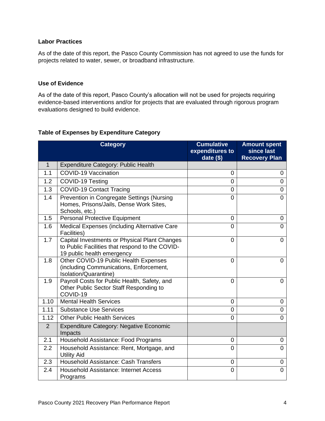#### **Labor Practices**

 As of the date of this report, the Pasco County Commission has not agreed to use the funds for projects related to water, sewer, or broadband infrastructure.

#### **Use of Evidence**

 As of the date of this report, Pasco County's allocation will not be used for projects requiring evidence-based interventions and/or for projects that are evaluated through rigorous program evaluations designed to build evidence.

#### **Amount spent**  1.3 COVID-19 Contact Tracing 0 0 1.4 | Prevention in Congregate Settings (Nursing 1.5 Personal Protective Equipment 0 0 1.6 Medical Expenses (including Alternative Care 1.7 | Capital Investments or Physical Plant Changes to Public Facilities that respond to the COVID-1.9 | Payroll Costs for Public Health, Safety, and Other Public Sector Staff Responding to 1.10 Mental Health Services 0 0 2 Expenditure Category: Negative Economic 2.2 Household Assistance: Rent, Mortgage, and 2.3 Household Assistance: Cash Transfers 0 0 2.4 Household Assistance: Internet Access **Category Cumulative Cumulative expenditures to date (\$) since last Recovery Plan**  1 | Expenditure Category: Public Health 1.1 COVID-19 Vaccination 0 0 1.2 COVID-19 Testing 0 0 Homes, Prisons/Jails, Dense Work Sites, Schools, etc.) 0 0 Facilities) 0 0 19 public health emergency 0 0 1.8 | Other COVID-19 Public Health Expenses (including Communications, Enforcement, Isolation/Quarantine) 0 0 COVID-19 0 0 1.11 Substance Use Services and the control of the control of the control of the control of the control of the control of the control of the control of the control of the control of the control of the control of the contro 1.12 Other Public Health Services 0 0 Impacts 2.1 Household Assistance: Food Programs 0 0 Utility Aid 0 0 Programs 0 0

#### **Table of Expenses by Expenditure Category**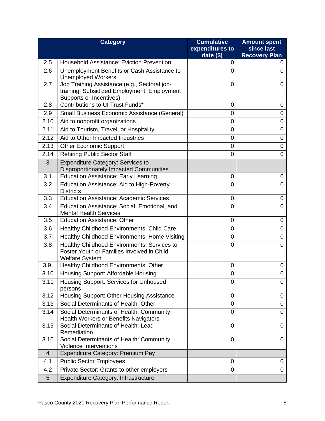|                | <b>Category</b>                                                                                                        | <b>Cumulative</b>              | <b>Amount spent</b>                |
|----------------|------------------------------------------------------------------------------------------------------------------------|--------------------------------|------------------------------------|
|                |                                                                                                                        | expenditures to<br>date $(\$)$ | since last<br><b>Recovery Plan</b> |
| 2.5            | <b>Household Assistance: Eviction Prevention</b>                                                                       | 0                              | 0                                  |
| 2.6            | Unemployment Benefits or Cash Assistance to<br><b>Unemployed Workers</b>                                               | 0                              | 0                                  |
| 2.7            | Job Training Assistance (e.g., Sectoral job-<br>training, Subsidized Employment, Employment<br>Supports or Incentives) | 0                              | 0                                  |
| 2.8            | Contributions to UI Trust Funds*                                                                                       | 0                              | 0                                  |
| 2.9            | Small Business Economic Assistance (General)                                                                           | 0                              | 0                                  |
| 2.10           | Aid to nonprofit organizations                                                                                         | $\mathbf 0$                    | 0                                  |
| 2.11           | Aid to Tourism, Travel, or Hospitality                                                                                 | $\overline{0}$                 | 0                                  |
| 2.12           | Aid to Other Impacted Industries                                                                                       | 0                              | 0                                  |
| 2.13           | <b>Other Economic Support</b>                                                                                          | $\overline{0}$                 | 0                                  |
| 2.14           | <b>Rehiring Public Sector Staff</b>                                                                                    | 0                              | 0                                  |
| 3              | <b>Expenditure Category: Services to</b><br>Disproportionately Impacted Communities                                    |                                |                                    |
| 3.1            | <b>Education Assistance: Early Learning</b>                                                                            | 0                              | 0                                  |
| 3.2            | Education Assistance: Aid to High-Poverty<br><b>Districts</b>                                                          | $\overline{0}$                 | 0                                  |
| 3.3            | <b>Education Assistance: Academic Services</b>                                                                         | 0                              | 0                                  |
| 3.4            | Education Assistance: Social, Emotional, and<br><b>Mental Health Services</b>                                          | $\overline{0}$                 | 0                                  |
| 3.5            | <b>Education Assistance: Other</b>                                                                                     | 0                              | 0                                  |
| 3.6            | Healthy Childhood Environments: Child Care                                                                             | 0                              | 0                                  |
| 3.7            | Healthy Childhood Environments: Home Visiting                                                                          | 0                              | 0                                  |
| 3.8            | Healthy Childhood Environments: Services to<br>Foster Youth or Families Involved in Child<br><b>Welfare System</b>     | $\overline{0}$                 | 0                                  |
| 3.9.           | Healthy Childhood Environments: Other                                                                                  | 0                              | 0                                  |
| 3.10           | Housing Support: Affordable Housing                                                                                    | $\overline{0}$                 | 0                                  |
| 3.11           | Housing Support: Services for Unhoused<br>persons                                                                      | $\overline{0}$                 | 0                                  |
| 3.12           | Housing Support: Other Housing Assistance                                                                              | $\mathbf 0$                    | 0                                  |
| 3.13           | Social Determinants of Health: Other                                                                                   | $\mathbf 0$                    | 0                                  |
| 3.14           | Social Determinants of Health: Community<br><b>Health Workers or Benefits Navigators</b>                               | $\overline{0}$                 | 0                                  |
| 3.15           | Social Determinants of Health: Lead<br>Remediation                                                                     | 0                              | 0                                  |
| 3.16           | Social Determinants of Health: Community<br><b>Violence Interventions</b>                                              | $\overline{0}$                 | 0                                  |
| $\overline{4}$ | Expenditure Category: Premium Pay                                                                                      |                                |                                    |
| 4.1            | <b>Public Sector Employees</b>                                                                                         | 0                              | 0                                  |
| 4.2            | Private Sector: Grants to other employers                                                                              | $\mathbf 0$                    | 0                                  |
| 5 <sup>5</sup> | <b>Expenditure Category: Infrastructure</b>                                                                            |                                |                                    |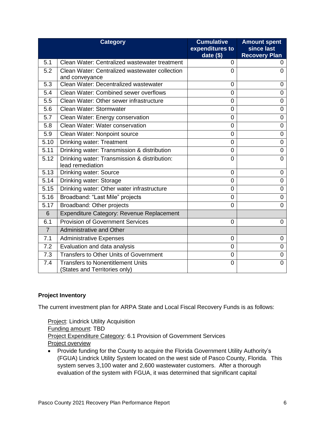|                  | <b>Category</b>                                                           | <b>Cumulative</b><br>expenditures to<br>date $($)$ | <b>Amount spent</b><br>since last<br><b>Recovery Plan</b> |
|------------------|---------------------------------------------------------------------------|----------------------------------------------------|-----------------------------------------------------------|
| 5.1              | Clean Water: Centralized wastewater treatment                             | 0                                                  | 0                                                         |
| 5.2              | Clean Water: Centralized wastewater collection<br>and conveyance          | 0                                                  | 0                                                         |
| 5.3              | Clean Water: Decentralized wastewater                                     | $\overline{0}$                                     | 0                                                         |
| 5.4              | Clean Water: Combined sewer overflows                                     | 0                                                  | 0                                                         |
| 5.5              | Clean Water: Other sewer infrastructure                                   | 0                                                  | 0                                                         |
| 5.6              | Clean Water: Stormwater                                                   | 0                                                  | 0                                                         |
| 5.7              | Clean Water: Energy conservation                                          | 0                                                  | 0                                                         |
| 5.8              | Clean Water: Water conservation                                           | 0                                                  | 0                                                         |
| 5.9              | Clean Water: Nonpoint source                                              | 0                                                  | 0                                                         |
| 5.10             | <b>Drinking water: Treatment</b>                                          | 0                                                  | 0                                                         |
| 5.11             | Drinking water: Transmission & distribution                               | 0                                                  | 0                                                         |
| 5.12             | Drinking water: Transmission & distribution:<br>lead remediation          | $\overline{0}$                                     | 0                                                         |
| 5.13             | <b>Drinking water: Source</b>                                             | 0                                                  | 0                                                         |
| 5.14             | Drinking water: Storage                                                   | 0                                                  | 0                                                         |
| 5.15             | Drinking water: Other water infrastructure                                | $\mathbf 0$                                        | 0                                                         |
| 5.16             | Broadband: "Last Mile" projects                                           | 0                                                  | 0                                                         |
| 5.17             | Broadband: Other projects                                                 | $\overline{0}$                                     | $\overline{0}$                                            |
| 6                | Expenditure Category: Revenue Replacement                                 |                                                    |                                                           |
| 6.1              | <b>Provision of Government Services</b>                                   | 0                                                  | 0                                                         |
| $\overline{7}$   | <b>Administrative and Other</b>                                           |                                                    |                                                           |
| 7.1              | <b>Administrative Expenses</b>                                            | 0                                                  | 0                                                         |
| 7.2              | Evaluation and data analysis                                              | 0                                                  | 0                                                         |
| $\overline{7.3}$ | Transfers to Other Units of Government                                    | $\mathbf 0$                                        | 0                                                         |
| 7.4              | <b>Transfers to Nonentitlement Units</b><br>(States and Territories only) | 0                                                  | 0                                                         |

### **Project Inventory**

The current investment plan for ARPA State and Local Fiscal Recovery Funds is as follows:

Project Expenditure Category: 6.1 Provision of Government Services **Project: Lindrick Utility Acquisition** Funding amount: TBD Project overview

 • Provide funding for the County to acquire the Florida Government Utility Authority's (FGUA) Lindrick Utility System located on the west side of Pasco County, Florida. This system serves 3,100 water and 2,600 wastewater customers. After a thorough evaluation of the system with FGUA, it was determined that significant capital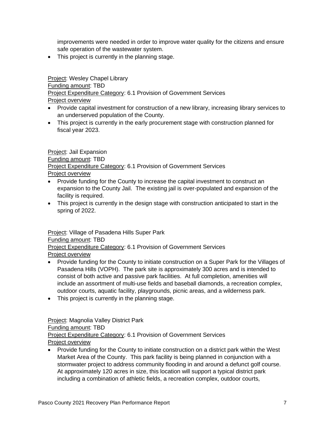improvements were needed in order to improve water quality for the citizens and ensure safe operation of the wastewater system.

• This project is currently in the planning stage.

Project: Wesley Chapel Library Project Expenditure Category: 6.1 Provision of Government Services Funding amount: TBD Project overview

- • Provide capital investment for construction of a new library, increasing library services to an underserved population of the County.
- • This project is currently in the early procurement stage with construction planned for fiscal year 2023.

Project Expenditure Category: 6.1 Provision of Government Services Project: Jail Expansion Funding amount: TBD Project overview

- • Provide funding for the County to increase the capital investment to construct an expansion to the County Jail. The existing jail is over-populated and expansion of the facility is required.
- • This project is currently in the design stage with construction anticipated to start in the spring of 2022.

Project: Village of Pasadena Hills Super Park

Funding amount: TBD

Project Expenditure Category: 6.1 Provision of Government Services Project overview

- • Provide funding for the County to initiate construction on a Super Park for the Villages of consist of both active and passive park facilities. At full completion, amenities will include an assortment of multi-use fields and baseball diamonds, a recreation complex, outdoor courts, aquatic facility, playgrounds, picnic areas, and a wilderness park. Pasadena Hills (VOPH). The park site is approximately 300 acres and is intended to
- This project is currently in the planning stage.

Project: Magnolia Valley District Park

Funding amount: TBD

Project Expenditure Category: 6.1 Provision of Government Services Project overview

 • Provide funding for the County to initiate construction on a district park within the West Market Area of the County. This park facility is being planned in conjunction with a stormwater project to address community flooding in and around a defunct golf course. At approximately 120 acres in size, this location will support a typical district park including a combination of athletic fields, a recreation complex, outdoor courts,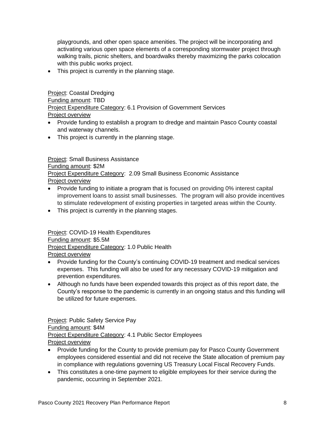playgrounds, and other open space amenities. The project will be incorporating and activating various open space elements of a corresponding stormwater project through walking trails, picnic shelters, and boardwalks thereby maximizing the parks colocation with this public works project.

• This project is currently in the planning stage.

Project Expenditure Category: 6.1 Provision of Government Services **Project: Coastal Dredging** Funding amount: TBD Project overview

- • Provide funding to establish a program to dredge and maintain Pasco County coastal and waterway channels.
- This project is currently in the planning stage.

Project: Small Business Assistance Project Expenditure Category: 2.09 Small Business Economic Assistance Funding amount: \$2M Project overview

- • Provide funding to initiate a program that is focused on providing 0% interest capital improvement loans to assist small businesses. The program will also provide incentives to stimulate redevelopment of existing properties in targeted areas within the County.
- This project is currently in the planning stages.

Project: COVID-19 Health Expenditures Funding amount: \$5.5M Project Expenditure Category: 1.0 Public Health Project overview

- • Provide funding for the County's continuing COVID-19 treatment and medical services expenses. This funding will also be used for any necessary COVID-19 mitigation and prevention expenditures.
- • Although no funds have been expended towards this project as of this report date, the County's response to the pandemic is currently in an ongoing status and this funding will be utilized for future expenses.

Project: Public Safety Service Pay Funding amount: \$4M Project Expenditure Category: 4.1 Public Sector Employees Project overview

- • Provide funding for the County to provide premium pay for Pasco County Government employees considered essential and did not receive the State allocation of premium pay in compliance with regulations governing US Treasury Local Fiscal Recovery Funds.
- • This constitutes a one-time payment to eligible employees for their service during the pandemic, occurring in September 2021.